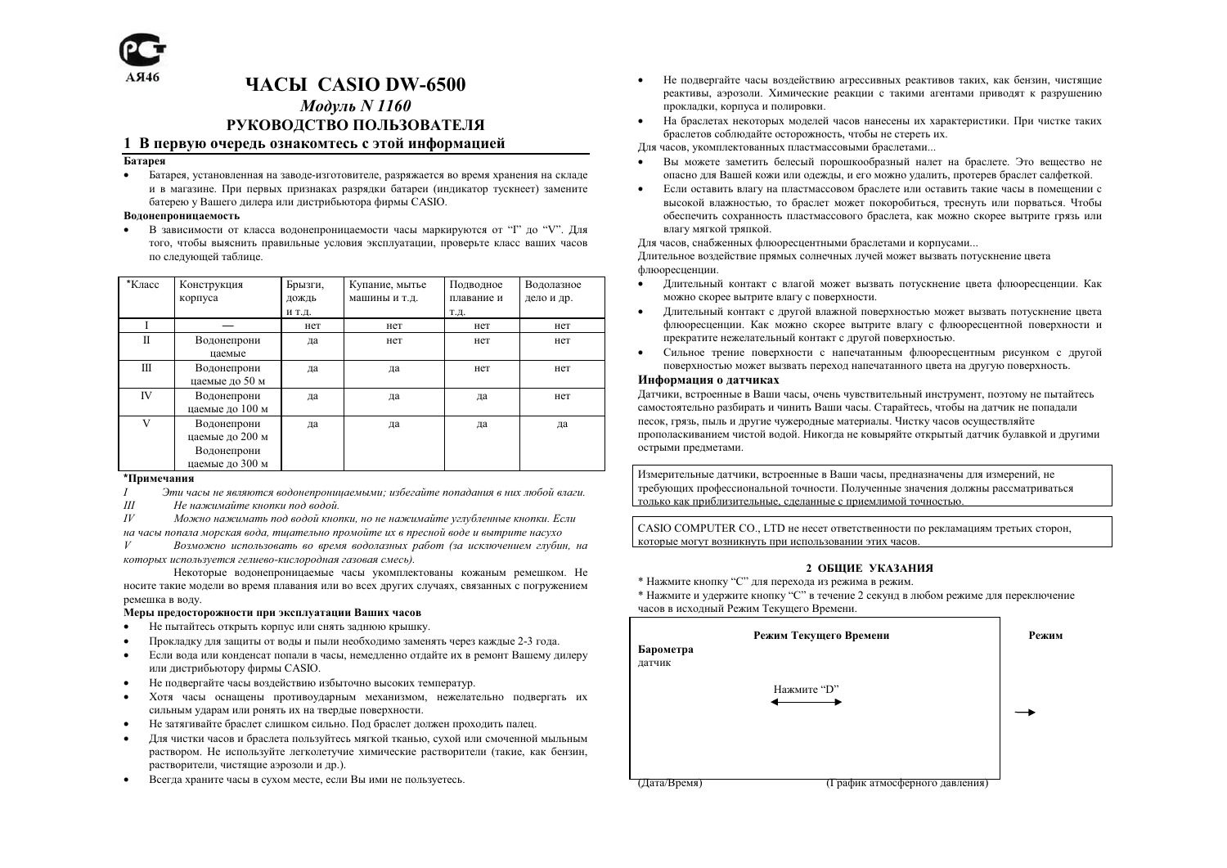

# *HACH CASIO DW-6500* Модуль N 1160 РУКОВОДСТВО ПОЛЬЗОВАТЕЛЯ

# 1 В первую очерель ознакомтесь с этой информанией

# Батарея

 $\bullet$ Батарея, установленная на заводе-изготовителе, разряжается во время хранения на складе и в магазине. При первых признаках разрядки батареи (индикатор тускнеет) замените батерею у Вашего дилера или дистрибьютора фирмы CASIO.

# Водонепроницаемость

 $\bullet$ В зависимости от класса водонепроницаемости часы маркируются от "Г" до "V". Для того, чтобы выяснить правильные условия эксплуатации, проверьте класс ваших часов по следующей таблице.

| *Класс | Конструкция<br>корпуса                                           | Брызги,<br>дождь | Купание, мытье<br>машины и т.д. | Подводное<br>плавание и | Водолазное<br>дело и др. |
|--------|------------------------------------------------------------------|------------------|---------------------------------|-------------------------|--------------------------|
|        |                                                                  | и т.д.           |                                 | Т.Д.                    |                          |
|        |                                                                  | нет              | нет                             | нет                     | нет                      |
| П      | Водонепрони<br>цаемые                                            | да               | нет                             | нет                     | нет                      |
| Ш      | Водонепрони<br>цаемые до 50 м                                    | да               | да                              | нет                     | нет                      |
| IV     | Водонепрони<br>цаемые до 100 м                                   | да               | да                              | да                      | нет                      |
| V      | Водонепрони<br>цаемые до 200 м<br>Водонепрони<br>цаемые до 300 м | да               | да                              | да                      | да                       |

# \*Примечания

 $\overline{I}$ Эти часы не являются водонепроницаемыми; избегайте попадания в них любой влаги.

 $III$ Не нажимайте кнопки под водой.

 $I\bar{V}$ Можно нажимать под водой кнопки, но не нажимайте углубленные кнопки. Если

на часы попала морская вода, тщательно промойте их в пресной воде и вытрите насухо

 $\boldsymbol{V}$ Возможно использовать во время водолазных работ (за исключением глубин, на которых используется гелиево-кислородная газовая смесь).

Некоторые водонепроницаемые часы укомплектованы кожаным ремешком. Не носите такие модели во время плавания или во всех других случаях, связанных с погружением ремешка в воду.

# Меры предосторожности при эксплуатации Ваших часов

- $\bullet$ Не пытайтесь открыть корпус или снять заднюю крышку.
- $\bullet$ Прокладку для защиты от воды и пыли необходимо заменять через каждые 2-3 года.
- Если вода или конденсат попали в часы, немедленно отдайте их в ремонт Вашему дилеру  $\bullet$ или дистрибьютору фирмы CASIO.
- Не подвергайте часы воздействию избыточно высоких температур.  $\bullet$
- $\bullet$ Хотя часы оснащены противоударным механизмом, нежелательно подвергать их сильным ударам или ронять их на твердые поверхности.
- $\bullet$ Не затягивайте браслет слишком сильно. Под браслет должен проходить палец.
- Лля чистки часов и браслета пользуйтесь мягкой тканью, сухой или смоченной мыльным  $\bullet$ раствором. Не используйте легколетучие химические растворители (такие, как бензин, растворители, чистящие аэрозоли и др.).
- $\bullet$ Всегда храните часы в сухом месте, если Вы ими не пользуетесь.
- Не полвергайте часы возлействию агрессивных реактивов таких, как бензин, чистяшие  $\bullet$ реактивы, аэрозоли. Химические реакции с такими агентами приводят к разрушению прокладки, корпуса и полировки.
- На браслетах некоторых моделей часов нанесены их характеристики. При чистке таких  $\bullet$ браслетов соблюдайте осторожность, чтобы не стереть их.

Лля часов, укомплектованных пластмассовыми браслетами...

- Вы можете заметить белесый порошкообразный налет на браслете. Это вешество не опасно для Вашей кожи или одежды, и его можно удалить, протерев браслет салфеткой.
- Если оставить влагу на пластмассовом браслете или оставить такие часы в помещении с  $\bullet$ высокой влажностью, то браслет может покоробиться, треснуть или порваться. Чтобы обеспечить сохранность пластмассового браслета, как можно скорее вытрите грязь или влагу мягкой тряпкой.

Для часов, снабженных флюоресцентными браслетами и корпусами...

Длительное воздействие прямых солнечных лучей может вызвать потускнение цвета флюоресценции.

- Длительный контакт с влагой может вызвать потускнение цвета флюоресценции. Как можно скорее вытрите влагу с поверхности.
- Длительный контакт с другой влажной поверхностью может вызвать потускнение цвета флюоресценции. Как можно скорее вытрите влагу с флюоресцентной поверхности и прекратите нежелательный контакт с другой поверхностью.
- Сильное трение поверхности с напечатанным флюоресцентным рисунком с другой поверхностью может вызвать переход напечатанного цвета на другую поверхность.

# Информация о датчиках

Датчики, встроенные в Ваши часы, очень чувствительный инструмент, поэтому не пытайтесь самостоятельно разбирать и чинить Ваши часы. Старайтесь, чтобы на датчик не попадали песок, грязь, пыль и другие чужеродные материалы. Чистку часов осуществляйте прополаскиванием чистой водой. Никогда не ковыряйте открытый датчик булавкой и другими острыми предметами.

Измерительные датчики, встроенные в Ваши часы, предназначены для измерений, не требующих профессиональной точности. Полученные значения должны рассматриваться только как приблизительные следанные с приемлимой точностью

CASIO COMPUTER CO., LTD не несет ответственности по рекламациям третьих сторон, которые могут возникнуть при использовании этих часов.

# 2 ОБШИЕ УКАЗАНИЯ

- \* Нажмите кнопку "С" для перехода из режима в режим.
- \* Нажмите и удержите кнопку "С" в течение 2 секунд в любом режиме для переключение часов в исходный Режим Текущего Времени.

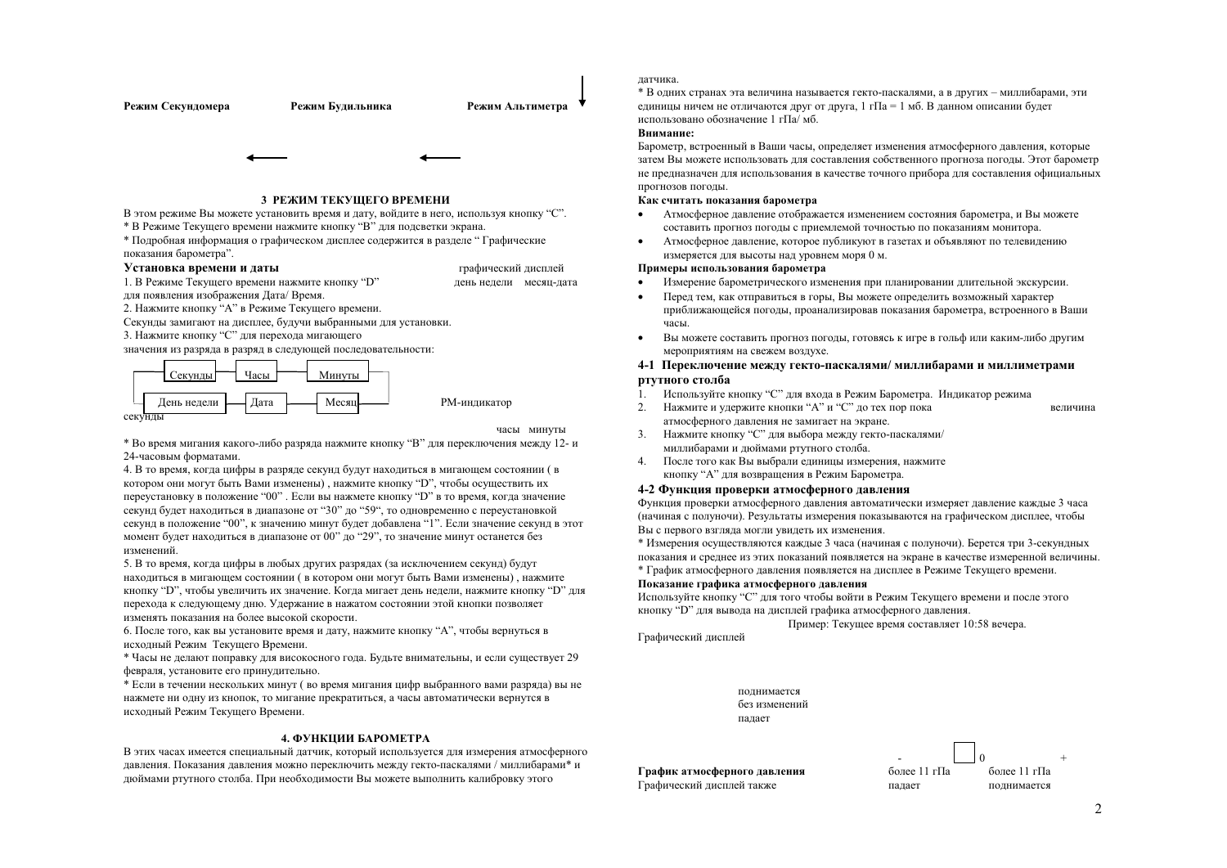

В этом режиме Вы можете установить время и дату, войдите в него, используя кнопку "С".

\* В Режиме Текущего времени нажмите кнопку "В" для подсветки экрана.

\* Подробная информация о графическом дисплее содержится в разделе "Графические показания барометра".

#### Установка времени и даты 1. В Режиме Текушего времени нажмите кнопку "D"

графический дисплей день недели месяц-дата

часы минуты

для появления изображения Дата/ Время.

2. Нажмите кнопку "А" в Режиме Текущего времени.

Секунды замигают на дисплее. будучи выбранными для установки.

3. Нажмите кнопку "С" для перехода мигающего

значения из разряда в разряд в следующей последовательности:



\* Во время мигания какого-либо разряда нажмите кнопку "В" для переключения между 12-и 24-часовым форматами.

4. В то время, когда цифры в разряде секунд будут находиться в мигающем состоянии (в котором они могут быть Вами изменены), нажмите кнопку "D", чтобы осуществить их переустановку в положение "00". Если вы нажмете кнопку "D" в то время, когда значение секунл булет нахолиться в лиапазоне от "30" ло "59", то одновременно с переустановкой секунд в положение "00", к значению минут будет добавлена "1". Если значение секунд в этот момент будет находиться в диапазоне от 00" до "29", то значение минут останется без изменений.

5. В то время, когда цифры в любых других разрядах (за исключением секунд) будут находиться в мигающем состоянии ( в котором они могут быть Вами изменены), нажмите кнопку "D", чтобы увеличить их значение. Когда мигает день недели, нажмите кнопку "D" для перехода к следующему дню. Удержание в нажатом состоянии этой кнопки позволяет изменять показания на более высокой скорости.

6. После того, как вы установите время и дату, нажмите кнопку "А", чтобы вернуться в исходный Режим Текущего Времени.

\* Часы не лелают поправку для високосного года. Будьте внимательны, и если существует 29 февраля, установите его принудительно.

\* Если в течении нескольких минут (во время мигания цифр выбранного вами разряда) вы не нажмете ни одну из кнопок, то мигание прекратиться, а часы автоматически вернутся в исходный Режим Текущего Времени.

# 4. ФУНКНИИ БАРОМЕТРА

В этих часах имеется специальный датчик, который используется для измерения атмосферного давления. Показания давления можно переключить между гекто-паскалями / миллибарами\* и дюймами ртутного столба. При необходимости Вы можете выполнить калибровку этого

# латчика.

\* В олних странах эта величина называется гекто-паскалями, а в лругих - миллибарами, эти елиницы ничем не отличаются лруг от лруга, 1 гПа = 1 мб. В данном описании будет использовано обозначение 1 гПа/ мб.

# Внимание:

Барометр, встроенный в Ваши часы, определяет изменения атмосферного давления, которые затем Вы можете использовать для составления собственного прогноза погоды. Этот барометр не предназначен для использования в качестве точного прибора для составления официальных прогнозов погоды.

# Как считать показания барометра

- Атмосферное давление отображается изменением состояния барометра, и Вы можете  $\bullet$ составить прогноз погоды с приемлемой точностью по показаниям монитора.
- Атмосферное давление, которое публикуют в газетах и объявляют по телевидению  $\bullet$ измеряется для высоты над уровнем моря 0 м.

# Примеры использования барометра

- Измерение барометрического изменения при планировании длительной экскурсии.  $\bullet$
- Перел тем, как отправиться в горы. Вы можете опреледить возможный характер  $\bullet$ приближающейся погоды, проанализировав показания барометра. встроенного в Ваши uacti
- $\blacksquare$ Вы можете составить прогноз погоды, готовясь к игре в гольф или каким-либо другим мероприятиям на свежем воздухе.

# 4-1 Переключение между гекто-паскалями/миллибарами и миллиметрами ртутного столба

- 1. Используйте кнопку "С" для входа в Режим Барометра. Индикатор режима
- 2. Нажмите и удержите кнопки "А" и "С" до тех пор пока атмосферного давления не замигает на экране.
- 3. Нажмите кнопку "С" для выбора между гекто-паскалями/ миллибарами и люймами ртутного столба.
- 4. После того как Вы выбрали единицы измерения, нажмите кнопку "А" для возвращения в Режим Барометра.

# 4-2 Функция проверки атмосферного давления

Функция проверки атмосферного давления автоматически измеряет давление каждые 3 часа (начиная с полуночи). Результаты измерения показываются на графическом дисплее, чтобы Вы с первого взгляла могли увидеть их изменения.

\* Измерения осуществляются каждые 3 часа (начиная с полуночи). Берется три 3-секундных показания и среднее из этих показаний появляется на экране в качестве измеренной величины. \* График атмосферного давления появляется на лисплее в Режиме Текушего времени.

# Показание графика атмосферного давления

Используйте кнопку "С" для того чтобы войти в Режим Текущего времени и после этого кнопку "D" для вывода на дисплей графика атмосферного давления.

Пример: Текущее время составляет 10:58 вечера.

Графический дисплей

полнимается без изменений палает

График атмосферного давления Графический дисплей также



величина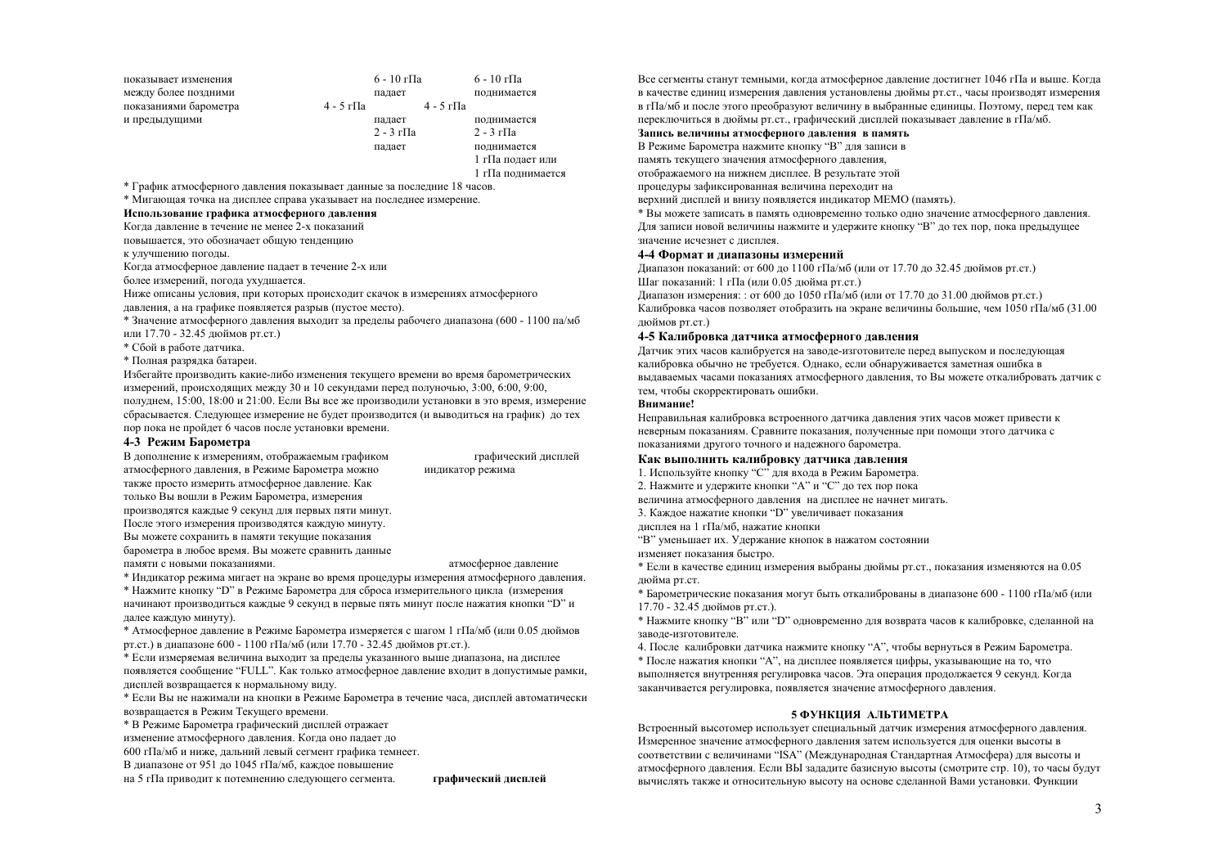| показывает изменения  |           | 6 - 10 г $\Pi$ а         |                          | 6 - 10 г $\Pi$ а         |
|-----------------------|-----------|--------------------------|--------------------------|--------------------------|
| между более поздними  |           | падает                   |                          | поднимается              |
| показаниями барометра | 4 - 5 гПа |                          | $4 - 5$ r <sub>IIa</sub> |                          |
| и предыдущими         |           | палает                   |                          | поднимается              |
|                       |           | $2 - 3$ r <sub>IIa</sub> |                          | $2 - 3$ r <sub>IIa</sub> |
|                       |           | палает                   |                          | полнимается              |
|                       |           |                          |                          | 1 гПа подает или         |
|                       |           |                          |                          |                          |

1 гПа полнимается

\* График атмосферного давления показывает данные за последние 18 часов.

\* Мигающая точка на лисплее справа указывает на послелнее измерение.

# Использование графика атмосферного лавления

Когда давление в течение не менее 2-х показаний

повышается, это обозначает обшую тенленцию

к улучшению поголы.

Когда атмосферное давление падает в течение 2-х или

более измерений, погода ухудшается.

Ниже описаны условия, при которых происходит скачок в измерениях атмосферного

давления, а на графике появляется разрыв (пустое место).

\* Значение атмосферного давления выходит за пределы рабочего диапазона (600 - 1100 па/мб или 17.70 - 32.45 дюймов рт.ст.)

\* Сбой в работе латчика.

\* Полная разрялка батареи.

Избегайте производить какие-либо изменения текущего времени во время барометрических измерений, происходящих между 30 и 10 секундами перед полуночью, 3:00, 6:00, 9:00, полуднем, 15:00, 18:00 и 21:00. Если Вы все же производили установки в это время, измерение сбрасывается. Следующее измерение не будет производится (и выводиться на график) до тех

пор пока не пройдет 6 часов после установки времени.

# 4-3 Режим Барометра

| В дополнение к измерениям, отображаемым графиком    | графический дисплей  |
|-----------------------------------------------------|----------------------|
| атмосферного давления, в Режиме Барометра можно     | индикатор режима     |
| также просто измерить атмосферное давление. Как     |                      |
| только Вы вошли в Режим Барометра, измерения        |                      |
| производятся каждые 9 секунд для первых пяти минут. |                      |
| После этого измерения производятся каждую минуту.   |                      |
| Вы можете сохранить в памяти текущие показания      |                      |
| барометра в любое время. Вы можете сравнить данные  |                      |
| памяти с новыми показаниями.                        | атмосферное давление |

\* Индикатор режима мигает на экране во время процедуры измерения атмосферного давления. \* Нажмите кнопку "D" в Режиме Барометра для сброса измерительного цикла (измерения начинают производиться каждые 9 секунд в первые пять минут после нажатия кнопки "D" и далее каждую минуту).

\* Атмосферное давление в Режиме Барометра измеряется с шагом 1 гПа/мб (или 0.05 дюймов рт.ст.) в диапазоне 600 - 1100 гПа/мб (или 17.70 - 32.45 дюймов рт.ст.).

\* Если измеряемая величина выхолит за пределы указанного выше диапазона, на дисплее появляется сообщение "FULL". Как только атмосферное давление входит в допустимые рамки, дисплей возвращается к нормальному виду.

\* Если Вы не нажимали на кнопки в Режиме Барометра в течение часа, лисплей автоматически возвращается в Режим Текушего времени.

\* В Режиме Барометра графический дисплей отражает

изменение атмосферного давления. Когда оно падает до

600 гПа/мб и ниже. лальний левый сегмент графика темнеет.

В диапазоне от 951 до 1045 гПа/мб, каждое повышение

на 5 гПа приводит к потемнению следующего сегмента.

графический дисплей

Все сегменты станут темными, когда атмосферное давление достигнет 1046 гПа и выше. Когда в качестве единиц измерения давления установлены дюймы рт.ст., часы производят измерения в гПа/мб и после этого преобразуют величину в выбранные елиницы. Поэтому, перед тем как переключиться в дюймы рт.ст., графический дисплей показывает давление в гПа/мб.

#### Запись величины атмосферного давления в память

В Режиме Барометра нажмите кнопку "В" для записи в

память текущего значения атмосферного давления.

отображаемого на нижнем лисплее. В результате этой

процедуры зафиксированная величина переходит на

верхний лисплей и внизу появляется инликатор МЕМО (память).

\* Вы можете записать в память одновременно только одно значение атмосферного давления. Для записи новой величины нажмите и удержите кнопку "В" до тех пор, пока предыдущее значение исчезнет с лисплея.

#### 4-4 Формат и диапазоны измерений

Диапазон показаний: от 600 до 1100 гПа/мб (или от 17.70 до 32.45 дюймов рт.ст.) Шаг показаний: 1 гПа (или 0.05 люйма рт.ст.)

Диапазон измерения: : от 600 до 1050 гПа/мб (или от 17.70 до 31.00 дюймов рт.ст.) Калибровка часов позволяет отобразить на экране величины большие, чем 1050 гПа/мб (31.00 люймов рт.ст.)

#### 4-5 Калибровка датчика атмосферного давления

Датчик этих часов калибруется на заводе-изготовителе перед выпуском и последующая калибровка обычно не требуется. Однако, если обнаруживается заметная ошибка в выдаваемых часами показаниях атмосферного давления, то Вы можете откалибровать датчик с тем, чтобы скорректировать ошибки.

# Внимание!

Неправильная калибровка встроенного датчика давления этих часов может привести к неверным показаниям. Сравните показания, полученные при помоши этого латчика с показаниями другого точного и надежного барометра.

#### Как выполнить калибровку латчика лавления

- 1. Используйте кнопку "С" для входа в Режим Барометра.
- 2. Нажмите и удержите кнопки "А" и "С" до тех пор пока
- величина атмосферного лавления на лисплее не начнет мигать.
- 3. Каждое нажатие кнопки "D" увеличивает показания
- лисплея на 1 гПа/мб, нажатие кнопки
- "В" уменьшает их. Удержание кнопок в нажатом состоянии
- изменяет показания быстро.
- \* Если в качестве единиц измерения выбраны дюймы рт.ст., показания изменяются на 0.05 люйма рт.ст.

\* Барометрические показания могут быть откалиброваны в диапазоне 600 - 1100 гПа/мб (или 17.70 - 32.45 люймов рт.ст.).

\* Нажмите кнопку "В" или "D" одновременно для возврата часов к калибровке, слеланной на заволе-изготовителе.

4. После калибровки латчика нажмите кнопку "А", чтобы вернуться в Режим Барометра. \* После нажатия кнопки "А", на дисплее появляется цифры, указывающие на то, что выполняется внутренняя регулировка часов. Эта операция продолжается 9 секунд. Когда заканчивается регулировка, появляется значение атмосферного давления.

#### 5 ФУНКЦИЯ АЛЬТИМЕТРА

Встроенный высотомер использует специальный датчик измерения атмосферного давления. Измеренное значение атмосферного давления затем используется для оценки высоты в соответствии с величинами "ISA" (Международная Стандартная Атмосфера) для высоты и атмосферного лавления. Если ВЫ залалите базисную высоты (смотрите стр. 10), то часы булут вычислять также и относительную высоту на основе сделанной Вами установки. Функции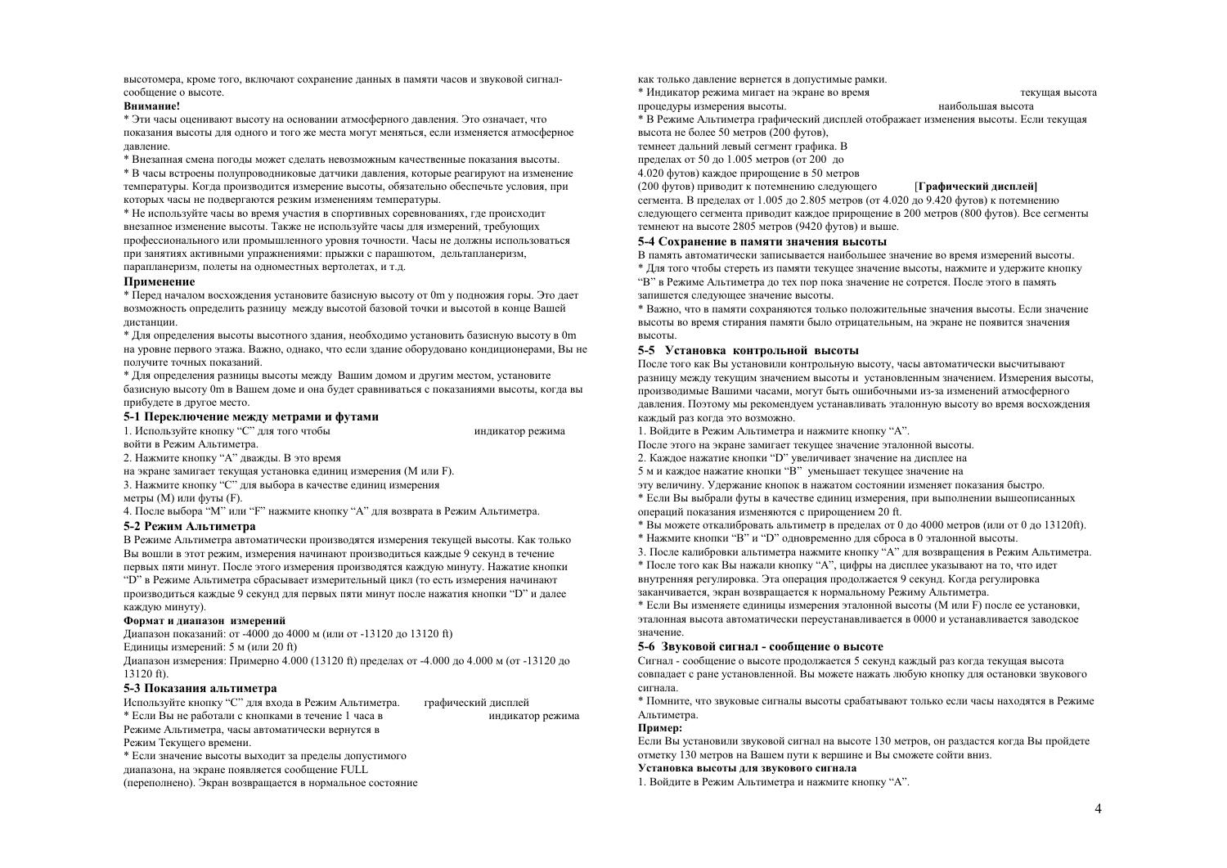высотомера, кроме того, включают сохранение данных в памяти часов и звуковой сигналсообщение о высоте.

#### Внимание!

\* Эти часы оценивают высоту на основании атмосферного давления. Это означает, что показания высоты для одного и того же места могут меняться, если изменяется атмосферное лавление.

\* Внезапная смена поголы может слелать невозможным качественные показания высоты.

\* В часы встроены полупроволниковые латчики лавления, которые реагируют на изменение температуры. Когда производится измерение высоты, обязательно обеспечьте условия, при которых часы не подвергаются резким изменениям температуры.

\* Не используйте часы во время участия в спортивных соревнованиях, где происходит внезапное изменение высоты. Также не используйте часы для измерений, требующих профессионального или промышленного уровня точности. Часы не должны использоваться при занятиях активными упражнениями: прыжки с парашютом, дельтапланеризм, парапланеризм, полеты на одноместных вертолетах, и т.д.

# Применение

\* Перед началом восхождения установите базисную высоту от 0m у подножия горы. Это дает возможность определить разницу между высотой базовой точки и высотой в конце Вашей листанции.

\* Для определения высоты высотного здания, необходимо установить базисную высоту в 0m на уровне первого этажа. Важно, однако, что если здание оборудовано кондиционерами, Вы не получите точных показаний.

\* Лля определения разницы высоты между Вашим домом и другим местом, установите базисную высоту 0m в Вашем доме и она будет сравниваться с показаниями высоты, когда вы прибудете в другое место.

индикатор режима

индикатор режима

#### 5-1 Переключение между метрами и футами

1. Используйте кнопку "С" для того чтобы войти в Режим Альтиметра.

2. Нажмите кнопку "А" дважды. В это время

на экране замигает текущая установка единиц измерения (М или F). 3. Нажмите кнопку "С" для выбора в качестве единиц измерения

метры  $(M)$  или футы  $(F)$ .

4. После выбора "М" или "Ғ" нажмите кнопку "А" для возврата в Режим Альтиметра.

# 5-2 Режим Альтиметра

В Режиме Альтиметра автоматически производятся измерения текущей высоты. Как только Вы вошли в этот режим, измерения начинают производиться каждые 9 секунд в течение первых пяти минут. После этого измерения производятся каждую минуту. Нажатие кнопки

"D" в Режиме Альтиметра сбрасывает измерительный цикл (то есть измерения начинают производиться каждые 9 секунд для первых пяти минут после нажатия кнопки "D" и далее каждую минуту).

# Формат и диапазон измерений

Диапазон показаний: от -4000 до 4000 м (или от -13120 до 13120 ft)

Елинины измерений: 5 м (или 20 ft)

Диапазон измерения: Примерно 4.000 (13120 ft) пределах от -4.000 до 4.000 м (от -13120 до  $13120 \text{ ft}$ 

# 5-3 Показания альтиметра

Используйте кнопку "С" для входа в Режим Альтиметра. графический лисплей

\* Если Вы не работали с кнопками в течение 1 часа в

Режиме Альтиметра, часы автоматически вернутся в

Режим Текушего времени.

\* Если значение высоты выходит за пределы допустимого

диапазона, на экране появляется сообщение FULL

(переполнено). Экран возвращается в нормальное состояние

как только давление вернется в допустимые рамки. \* Индикатор режима мигает на экране во время

текушая высота

наибольшая высота

\* В Режиме Альтиметра графический дисплей отображает изменения высоты. Если текущая высота не более 50 метров (200 футов),

темнеет дальний левый сегмент графика. В

пределах от 50 до 1.005 метров (от 200 до

процедуры измерения высоты.

4.020 футов) кажлое прирошение в 50 метров

#### [Графический лисплей]

(200 футов) приводит к потемнению следующего сегмента. В пределах от 1.005 до 2.805 метров (от 4.020 до 9.420 футов) к потемнению слелующего сегмента приволит кажлое прирошение в 200 метров (800 футов). Все сегменты темнеют на высоте 2805 метров (9420 футов) и выше.

# 5-4 Сохранение в памяти значения высоты

В память автоматически записывается наибольшее значение во время измерений высоты. \* Лля того чтобы стереть из памяти текушее значение высоты, нажмите и удержите кнопку "В" в Режиме Альтиметра до тех пор пока значение не сотрется. После этого в память запишется следующее значение высоты.

\* Важно, что в памяти сохраняются только положительные значения высоты. Если значение высоты во время стирания памяти было отрицательным, на экране не появится значения высоты.

# 5-5 Установка контрольной высоты

После того как Вы установили контрольную высоту, часы автоматически высчитывают разницу между текущим значением высоты и установленным значением. Измерения высоты, производимые Вашими часами, могут быть ошибочными из-за изменений атмосферного давления. Поэтому мы рекомендуем устанавливать эталонную высоту во время восхождения каждый раз когда это возможно.

1. Войлите в Режим Альтиметра и нажмите кнопку "А".

После этого на экране замигает текушее значение эталонной высоты.

2. Каждое нажатие кнопки "D" увеличивает значение на дисплее на

5 м и каждое нажатие кнопки "В" уменьшает текущее значение на

эту величину. Удержание кнопок в нажатом состоянии изменяет показания быстро.

\* Если Вы выбрали футы в качестве единиц измерения, при выполнении вышеописанных операций показания изменяются с прирощением 20 ft.

\* Вы можете откалибровать альтиметр в пределах от 0 до 4000 метров (или от 0 до 13120ft).

\* Нажмите кнопки "В" и "D" одновременно для сброса в 0 эталонной высоты.

3. После калибровки альтиметра нажмите кнопку "А" для возвращения в Режим Альтиметра.

\* После того как Вы нажали кнопку "А", цифры на дисплее указывают на то, что идет внутренняя регулировка. Эта операция продолжается 9 секунд. Когда регулировка

заканчивается, экран возвращается к нормальному Режиму Альтиметра.

\* Если Вы изменяете единицы измерения эталонной высоты (М или F) после ее установки, эталонная высота автоматически переустанавливается в 0000 и устанавливается заводское значение

# 5-6 Звуковой сигнал - сообшение о высоте

Сигнал - сообщение о высоте продолжается 5 секунд каждый раз когда текущая высота совпадает с ране установленной. Вы можете нажать любую кнопку для остановки звукового сигнала.

\* Помните, что звуковые сигналы высоты срабатывают только если часы находятся в Режиме Альтиметра.

# Пример:

Если Вы установили звуковой сигнал на высоте 130 метров, он раздастся когда Вы пройдете отметку 130 метров на Вашем пути к вершине и Вы сможете сойти вниз.

# Установка высоты лля звукового сигнала

1. Войдите в Режим Альтиметра и нажмите кнопку "А".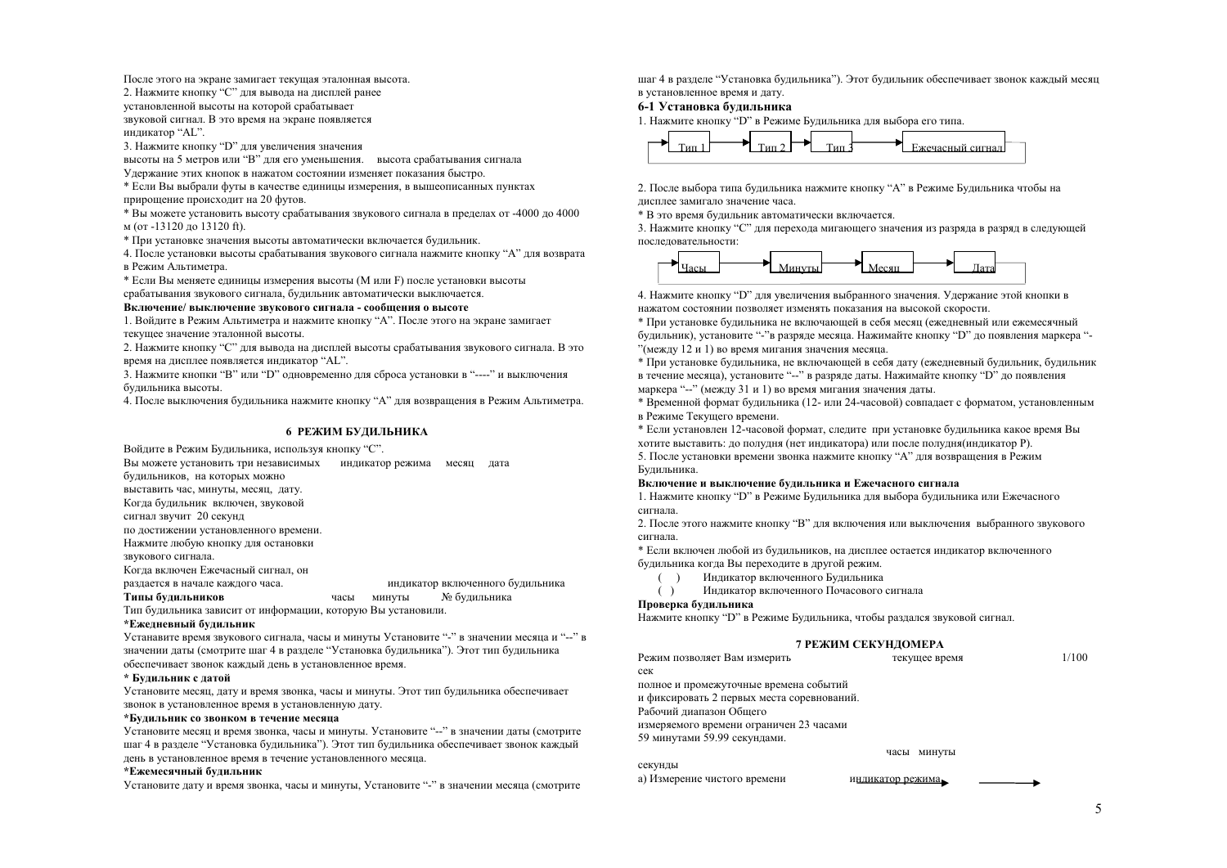После этого на экране замигает текущая эталонная высота.

2. Нажмите кнопку "С" лля вывола на лисплей ранее

установленной высоты на которой срабатывает

звуковой сигнал. В это время на экране появляется инликатор "AL".

3. Нажмите кнопку "D" для увеличения значения

высоты на 5 метров или "В" для его уменьшения. высота срабатывания сигнала

Улержание этих кнопок в нажатом состоянии изменяет показания быстро.

\* Если Вы выбрали футы в качестве единицы измерения, в вышеописанных пунктах прирошение происходит на 20 футов.

\* Вы можете установить высоту срабатывания звукового сигнала в пределах от -4000 до 4000 м (от -13120 ло 13120 ft).

\* При установке значения высоты автоматически включается булильник.

4. После установки высоты срабатывания звукового сигнала нажмите кнопку "А" лля возврата в Режим Альтиметра.

\* Если Вы меняете елиницы измерения высоты (М или F) после установки высоты срабатывания звукового сигнала, будильник автоматически выключается.

#### Включение/ выключение звукового сигнала - сообщения о высоте

1. Войдите в Режим Альтиметра и нажмите кнопку "А". После этого на экране замигает текущее значение эталонной высоты.

2. Нажмите кнопку "С" для вывода на дисплей высоты срабатывания звукового сигнала. В это время на лисплее появляется инликатор "AL".

3. Нажмите кнопки "В" или "D" одновременно для сброса установки в "----" и выключения булильника высоты

4. После выключения булильника нажмите кнопку "А" лля возвращения в Режим Альтиметра.

#### 6 РЕЖИМ БУДИЛЬНИКА

Войдите в Режим Будильника, используя кнопку "С".

Вы можете установить три независимых индикатор режима месяц дата будильников, на которых можно выставить час. минуты, месяц. дату. Когда будильник включен, звуковой сигнал звучит 20 секунд по лостижении установленного времени Нажмите любую кнопку для остановки звукового сигнала. Когда включен Ежечасный сигнал, он

разлается в начале кажлого часа. индикатор включенного будильника Типы будильников № будильника часы минуты

Тип будильника зависит от информации, которую Вы установили.

#### \*Ежелневный булильник

Устанавите время звукового сигнала, часы и минуты Установите "-" в значении месяца и "--" в значении даты (смотрите шаг 4 в разделе "Установка будильника"). Этот тип будильника обеспечивает звонок кажлый день в установленное время.

#### \* Будильник с датой

Установите месяц, дату и время звонка, часы и минуты. Этот тип будильника обеспечивает звонок в установленное время в установленную дату.

#### \*Будильник со звонком в течение месяца

Установите месяц и время звонка, часы и минуты. Установите "--" в значении даты (смотрите шаг 4 в разделе "Установка будильника"). Этот тип будильника обеспечивает звонок каждый день в установленное время в течение установленного месяца.

#### \*Ежемесячный булильник

Установите дату и время звонка, часы и минуты, Установите "-" в значении месяца (смотрите

шаг 4 в разделе "Установка будильника"). Этот будильник обеспечивает звонок каждый месяц в установленное время и дату.

# 6-1 Установка булильника

1. Нажмите кнопку "D" в Режиме Будильника для выбора его типа.



2. После выбора типа булильника нажмите кнопку "А" в Режиме Булильника чтобы на лисплее замигало значение часа.

\* В это время будильник автоматически включается.

3. Нажмите кнопку "С" для перехода мигающего значения из разряда в разряд в следующей последовательности:



4. Нажмите кнопку "D" для увеличения выбранного значения. Удержание этой кнопки в нажатом состоянии позволяет изменять показания на высокой скорости.

\* При установке булильника не включающей в себя месяц (ежелневный или ежемесячный булильник), установите "-"в разряде месяца. Нажимайте кнопку "D" до появления маркера "-"(между 12 и 1) во время мигания значения месяца.

\* При установке будильника, не включающей в себя дату (ежедневный будильник, будильник в течение месяца), установите "--" в разряде даты. Нажимайте кнопку "D" до появления маркера "--" (между 31 и 1) во время мигания значения даты.

\* Временной формат будильника (12-или 24-часовой) совпадает с форматом, установленным в Режиме Текущего времени.

\* Если установлен 12-часовой формат, следите при установке будильника какое время Вы хотите выставить: до полудня (нет индикатора) или после полудня (индикатор Р).

5. После установки времени звонка нажмите кнопку "А" для возвращения в Режим Будильника.

#### Включение и выключение булильника и Ежечасного сигнала

1. Нажмите кнопку "D" в Режиме Будильника для выбора будильника или Ежечасного сигнала

2. После этого нажмите кнопку "В" для включения или выключения выбранного звукового сигнала.

\* Если включен любой из будильников, на дисплее остается индикатор включенного булильника когла Вы переходите в другой режим.

 $( )$ Индикатор включенного Будильника Индикатор включенного Почасового сигнала  $( )$ 

#### Проверка будильника

Нажмите кнопку "D" в Режиме Будильника, чтобы раздался звуковой сигнал.

#### 7 РЕЖИМ СЕКУНДОМЕРА

| Режим позволяет Вам измерить               | текущее время  | 1/100 |
|--------------------------------------------|----------------|-------|
| сек                                        |                |       |
| полное и промежуточные времена событий     |                |       |
| и фиксировать 2 первых места соревнований. |                |       |
| Рабочий лиапазон Общего                    |                |       |
| измеряемого времени ограничен 23 часами    |                |       |
| 59 минутами 59.99 секундами.               |                |       |
|                                            | часы<br>минуты |       |
| секунды                                    |                |       |

а) Измерение чистого времени

индикатор режима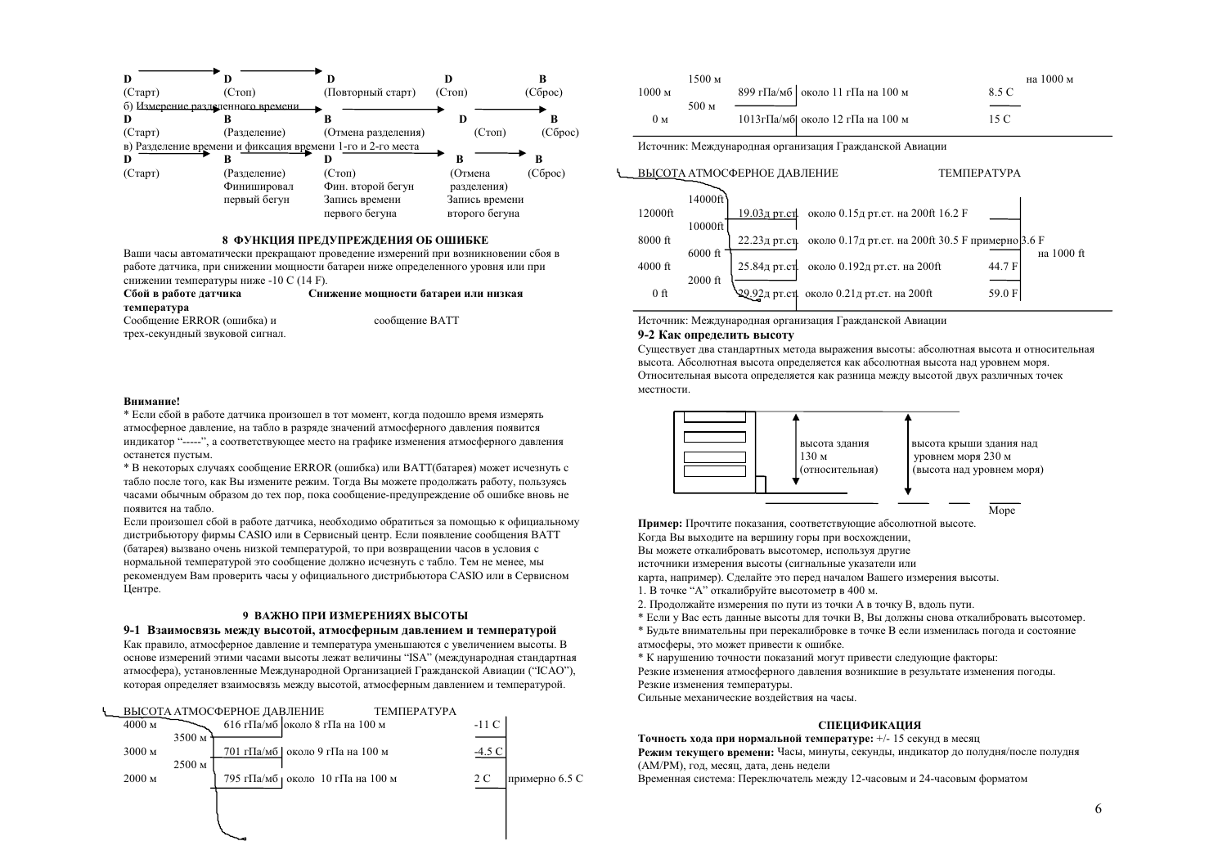

#### 8 ФУНКЦИЯ ПРЕЛУПРЕЖЛЕНИЯ ОБ ОШИБКЕ

Ваши часы автоматически прекрашают провеление измерений при возникновении сбоя в работе датчика, при снижении мощности батареи ниже определенного уровня или при снижении температуры ниже -10 С (14 F).

| Сбой в работе датчика           | Снижение мощности батареи или низкая |
|---------------------------------|--------------------------------------|
| температура                     |                                      |
| Сообщение ERROR (ошибка) и      | сообшение ВАТТ                       |
| трех-секундный звуковой сигнал. |                                      |

#### Внимание!

\* Если сбой в работе датчика произошел в тот момент, когда подошло время измерять атмосферное лавление, на табло в разряле значений атмосферного лавления появится индикатор "-----", а соответствующее место на графике изменения атмосферного давления останется пустым.

\* В некоторых случаях сообщение ERROR (ошибка) или BATT(батарея) может исчезнуть с табло после того, как Вы измените режим. Тогла Вы можете продолжать работу, пользуясь часами обычным образом до тех пор, пока сообщение-предупреждение об ошибке вновь не появится на табло.

Если произошел сбой в работе датчика, необходимо обратиться за помощью к официальному листрибьютору фирмы CASIO или в Сервисный центр. Если появление сообщения BATT (батарея) вызвано очень низкой температурой, то при возвращении часов в условия с нормальной температурой это сообщение должно исчезнуть с табло. Тем не менее, мы рекомендуем Вам проверить часы у официального дистрибьютора CASIO или в Сервисном Центре.

#### 9 ВАЖНО ПРИ ИЗМЕРЕНИЯХ ВЫСОТЫ

#### 9-1 Взаимосвязь между высотой, атмосферным давлением и температурой

Как правило, атмосферное давление и температура уменьшаются с увеличением высоты. В основе измерений этими часами высоты лежат величины "ISA" (международная стандартная атмосфера), установленные Международной Организацией Гражданской Авиации ("ICAO"), которая определяет взаимосвязь между высотой, атмосферным давлением и температурой.



|                   | 1500 м    |                                    | на 1000 м |
|-------------------|-----------|------------------------------------|-----------|
| 1000 <sub>M</sub> |           | 899 гПа/мб   около 11 гПа на 100 м | 85 C      |
|                   | 500 $\mu$ |                                    |           |
| 0м                |           | 1013 гПа/мб] около 12 гПа на 100 м | 15 C      |

Источник: Международная организация Гражданской Авиации



Источник: Международная организация Гражданской Авиации

#### 9-2 Как определить высоту

Существует два стандартных метода выражения высоты: абсолютная высота и относительная высота. Абсолютная высота определяется как абсолютная высота над уровнем моря. Относительная высота определяется как разница между высотой двух различных точек местности.



Пример: Прочтите показания, соответствующие абсолютной высоте. Когда Вы выходите на вершину горы при восхождении, Вы можете откалибровать высотомер, используя другие источники измерения высоты (сигнальные указатели или

карта, например). Сделайте это перед началом Вашего измерения высоты.

- 1. В точке "А" откалибруйте высотометр в 400 м.
- 2. Продолжайте измерения по пути из точки А в точку В, вдоль пути.
- \* Если у Вас есть данные высоты для точки В, Вы должны снова откалибровать высотомер.

\* Будьте внимательны при перекалибровке в точке В если изменилась погода и состояние атмосферы, это может привести к ошибке.

\* К нарушению точности показаний могут привести следующие факторы:

Резкие изменения атмосферного давления возникшие в результате изменения погоды. Резкие изменения температуры.

Сильные механические возлействия на часы.

#### **СПЕНИФИКАНИЯ**

Точность хода при нормальной температуре: +/- 15 секунд в месяц

Режим текущего времени: Часы, минуты, секунды, индикатор до полудня/после полудня (АМ/РМ), год, месяц, дата, день недели

Временная система: Переключатель между 12-часовым и 24-часовым форматом